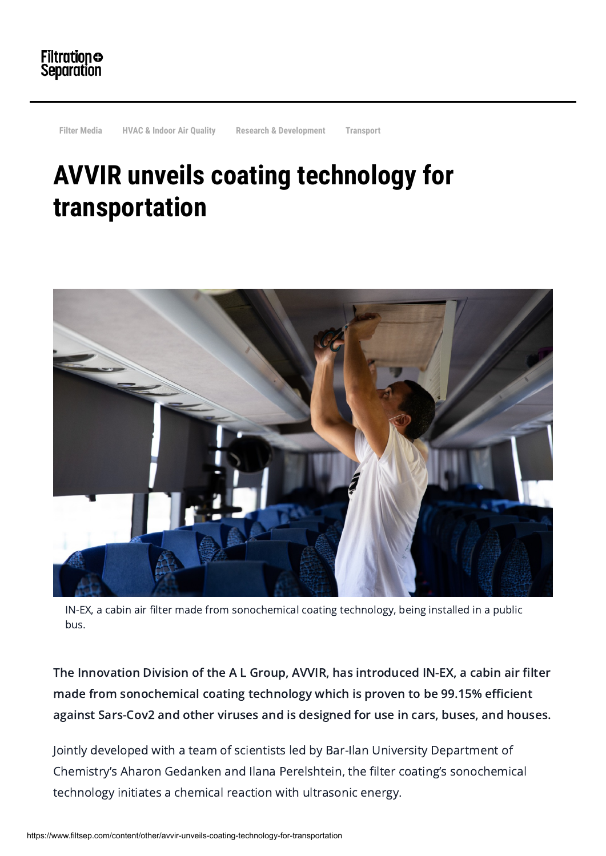

**[Filter Media](https://www.filtsep.com/category/filter-media) [HVAC & Indoor Air Quality](https://www.filtsep.com/category/hvac-indoor-air-quality) [Research & Development](https://www.filtsep.com/category/research-development) [Transport](https://www.filtsep.com/category/transport)**

## **AVVIR unveils coating technology for transportation**



IN-EX, a cabin air filter made from sonochemical coating technology, being installed in a public bus.

The Innovation Division of the A L Group, AVVIR, has introduced IN-EX, a cabin air filter made from sonochemical coating technology which is proven to be 99.15% efficient against Sars-Cov2 and other viruses and is designed for use in cars, buses, and houses.

Jointly developed with a team of scientists led by Bar-Ilan University Department of Chemistry's Aharon Gedanken and Ilana Perelshtein, the filter coating's sonochemical technology initiates a chemical reaction with ultrasonic energy.